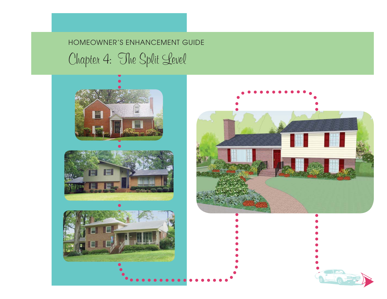# HOMEOWNER'S ENHANCEMENT GUIDE Chapter 4: The Split Level











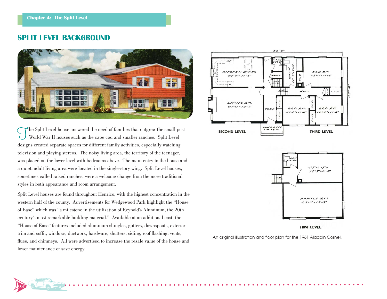**34**

### **SPLIT LEVEL BACKGROUND**



The Split Level house answered the need of families that outgrew the small post- World War II houses such as the cape cod and smaller ranches. Split Level designs created separate spaces for different family activities, especially watching television and playing stereos. The noisy living area, the territory of the teenager, was placed on the lower level with bedrooms above. The main entry to the house and a quiet, adult living area were located in the single-story wing. Split Level houses, sometimes called raised ranches, were a welcome change from the more traditional styles in both appearance and room arrangement.

Split Level houses are found throughout Henrico, with the highest concentration in the western half of the county. Advertisements for Wedgewood Park highlight the "House of Ease" which was "a milestone in the utilization of Reynold's Aluminum, the 20th century's most remarkable building material." Available at an additional cost, the "House of Ease" features included aluminum shingles, gutters, downspouts, exterior trim and soffit, windows, ductwork, hardware, shutters, siding, roof flashing, vents, flues, and chimneys. All were advertised to increase the resale value of the house and lower maintenance or save energy.



An original illustration and floor plan for the 1961 Aladdin Cornell.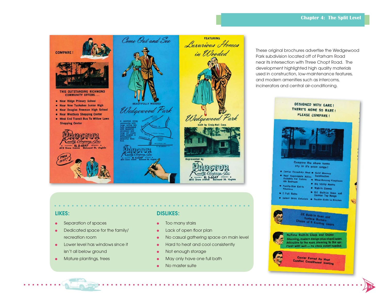### **Chapter 4: The Split Level**



### **LIKES:**

- ●Separation of spaces
- $\bullet$  Dedicated space for the family/ recreation room
- Lower level has windows since it isn't all below ground
- Mature plantings, trees

### **DISLIKES:**

- $\bullet$ Too many stairs
- $\bullet$ Lack of open floor plan
- ●No casual gathering space on main level

- $\bullet$ Hard to heat and cool consistently
- ●Not enough storage
- ●May only have one full bath
- ●No master suite

These original brochures advertise the Wedgewood Park subdivision located off of Parham Road near its intersection with Three Chopt Road. The development highlighted high quality materials used in construction, low-maintenance features, and modern amenities such as intercoms, incinerators and central air-conditioning.



**35**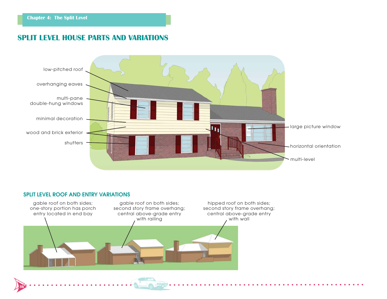# **SPLIT LEVEL HOUSE PARTS AND VARIATIONS**



### **SPLIT LEVEL ROOF AND ENTRY VARIATIONS**

**36**

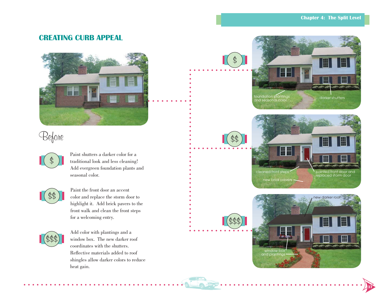# **CREATING CURB APPEAL**



# Before



Paint shutters a darker color for a traditional look and less cleaning! Add evergreen foundation plants and seasonal color.



Paint the front door an accent color and replace the storm door to highlight it. Add brick pavers to the front walk and clean the front steps for a welcoming entry.



Add color with plantings and a<br>window box. The new darker roof coordinates with the shutters. Reflective materials added to roof shingles allow darker colors to reduce heat gain.





\$\$

\$\$\$

 $\, \varphi$ 



**37**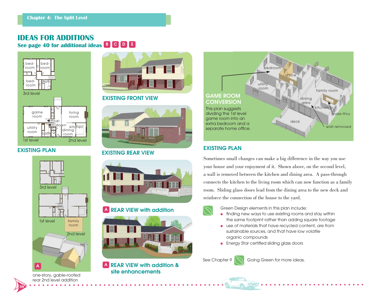# **IDEAS FOR ADDITIONS**

**See page 40 for additional ideas <sup>B</sup> <sup>C</sup> <sup>D</sup> <sup>E</sup>**



### **EXISTING PLAN**

**38**



rear 2nd level addition



### **EXISTING FRONT VIEW**



### **EXISTING REAR VIEW**



### **A REAR VIEW with addition**



### **A REAR VIEW with addition & site enhancements**



### **EXISTING PLAN**

Sometimes small changes can make a big difference in the way you use your house and your enjoyment of it. Shown above, on the second level, a wall is removed between the kitchen and dining area. A pass-through connects the kitchen to the living room which can now function as a family room. Sliding glass doors lead from the dining area to the new deck and reinforce the connection of the house to the yard.

Green Design elements in this plan include:

- $\bullet$  finding new ways to use existing rooms and stay within the same footprint rather than adding square footage
- use of materials that have recycled content, are from sustainable sources, and that have low volatile organic compounds
- Energy Star certified sliding glass doors

See Chapter 9 | Going Green for more ideas.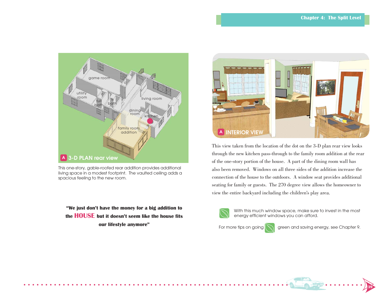

This one-story, gable-roofed rear addition provides additional living space in a modest footprint. The vaulted ceiling adds a spacious feeling to the new room.

**"We just don't have the money for a big addition to the HOUSE but it doesn't seem like the house fits our lifestyle anymore"**



This view taken from the location of the dot on the 3-D plan rear view looks through the new kitchen pass-through to the family room addition at the rear of the one-story portion of the house. A part of the dining room wall has also been removed. Windows on all three sides of the addition increase the connection of the house to the outdoors. A window seat provides additional seating for family or guests. The 270 degree view allows the homeowner to view the entire backyard including the children's play area.



With this much window space, make sure to invest in the most energy efficient windows you can afford.

For more tips on going  $\log$  green and saving energy, see Chapter 9.